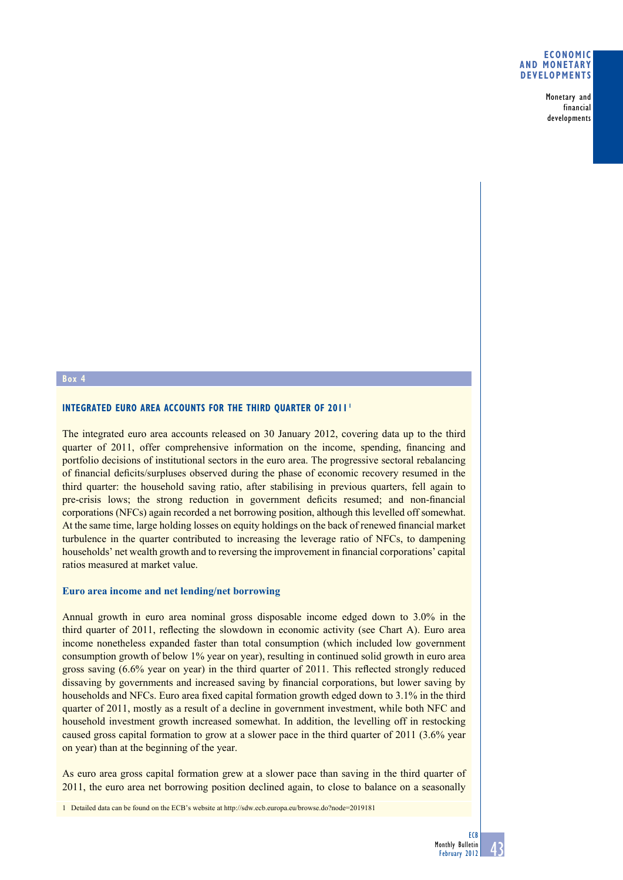### **Economic and monetary developments**

Monetary and financial developments

#### **Box 4**

### **Integrated euro area accounts for the third quarter of 2011 <sup>1</sup>**

The integrated euro area accounts released on 30 January 2012, covering data up to the third quarter of 2011, offer comprehensive information on the income, spending, financing and portfolio decisions of institutional sectors in the euro area. The progressive sectoral rebalancing of financial deficits/surpluses observed during the phase of economic recovery resumed in the third quarter: the household saving ratio, after stabilising in previous quarters, fell again to pre-crisis lows; the strong reduction in government deficits resumed; and non-financial corporations (NFCs) again recorded a net borrowing position, although this levelled off somewhat. At the same time, large holding losses on equity holdings on the back of renewed financial market turbulence in the quarter contributed to increasing the leverage ratio of NFCs, to dampening households' net wealth growth and to reversing the improvement in financial corporations' capital ratios measured at market value.

### **Euro area income and net lending/net borrowing**

Annual growth in euro area nominal gross disposable income edged down to 3.0% in the third quarter of 2011, reflecting the slowdown in economic activity (see Chart A). Euro area income nonetheless expanded faster than total consumption (which included low government consumption growth of below 1% year on year), resulting in continued solid growth in euro area gross saving (6.6% year on year) in the third quarter of 2011. This reflected strongly reduced dissaving by governments and increased saving by financial corporations, but lower saving by households and NFCs. Euro area fixed capital formation growth edged down to 3.1% in the third quarter of 2011, mostly as a result of a decline in government investment, while both NFC and household investment growth increased somewhat. In addition, the levelling off in restocking caused gross capital formation to grow at a slower pace in the third quarter of 2011 (3.6% year on year) than at the beginning of the year.

As euro area gross capital formation grew at a slower pace than saving in the third quarter of 2011, the euro area net borrowing position declined again, to close to balance on a seasonally

1 Detailed data can be found on the ECB's website at http://sdw.ecb.europa.eu/browse.do?node=2019181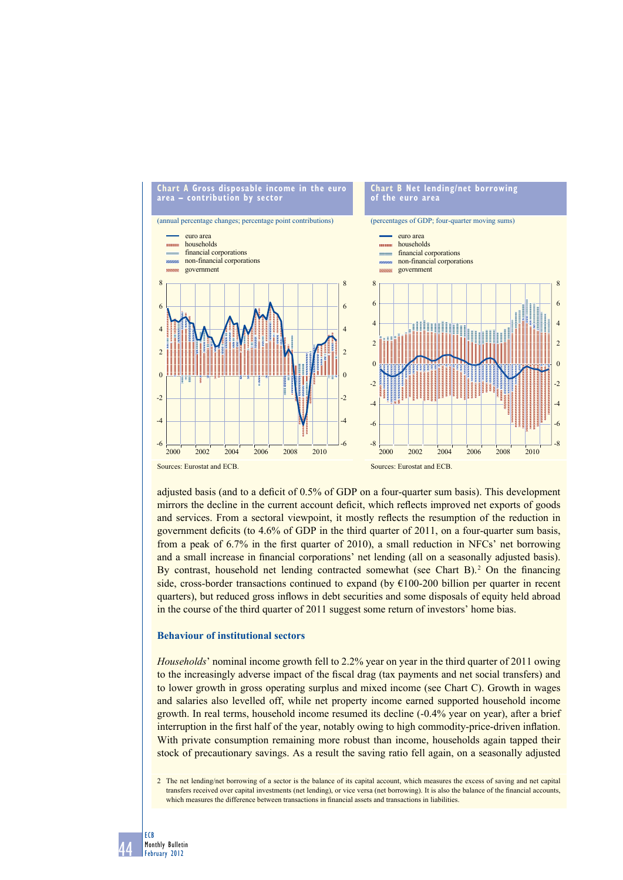

adjusted basis (and to a deficit of 0.5% of GDP on a four-quarter sum basis). This development mirrors the decline in the current account deficit, which reflects improved net exports of goods and services. From a sectoral viewpoint, it mostly reflects the resumption of the reduction in government deficits (to  $4.6\%$  of GDP in the third quarter of 2011, on a four-quarter sum basis, from a peak of 6.7% in the first quarter of 2010), a small reduction in NFCs' net borrowing and a small increase in financial corporations' net lending (all on a seasonally adjusted basis). By contrast, household net lending contracted somewhat (see Chart B). $^2$  On the financing side, cross-border transactions continued to expand (by  $\epsilon$ 100-200 billion per quarter in recent quarters), but reduced gross inflows in debt securities and some disposals of equity held abroad in the course of the third quarter of 2011 suggest some return of investors' home bias.

# **Behaviour of institutional sectors**

*Households*' nominal income growth fell to 2.2% year on year in the third quarter of 2011 owing to the increasingly adverse impact of the fiscal drag (tax payments and net social transfers) and to lower growth in gross operating surplus and mixed income (see Chart C). Growth in wages and salaries also levelled off, while net property income earned supported household income growth. In real terms, household income resumed its decline (-0.4% year on year), after a brief interruption in the first half of the year, notably owing to high commodity-price-driven inflation. With private consumption remaining more robust than income, households again tapped their stock of precautionary savings. As a result the saving ratio fell again, on a seasonally adjusted

2 The net lending/net borrowing of a sector is the balance of its capital account, which measures the excess of saving and net capital transfers received over capital investments (net lending), or vice versa (net borrowing). It is also the balance of the financial accounts, which measures the difference between transactions in financial assets and transactions in liabilities.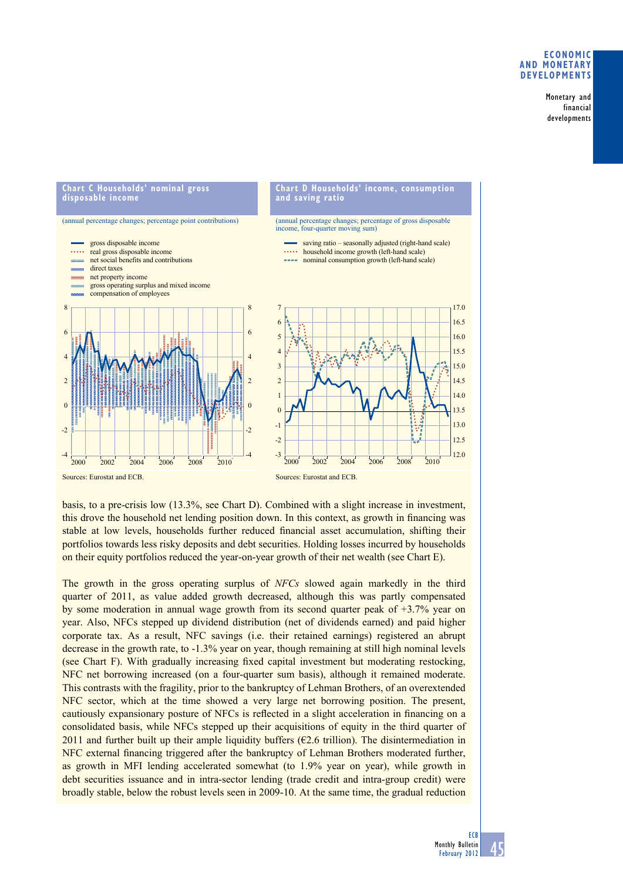# **ECONOMIC ANd MONETAry dEvElOPMENTS**

Monetary and financial developments



basis, to a pre-crisis low (13.3%, see Chart D). Combined with a slight increase in investment, this drove the household net lending position down. In this context, as growth in financing was stable at low levels, households further reduced financial asset accumulation, shifting their portfolios towards less risky deposits and debt securities. Holding losses incurred by households on their equity portfolios reduced the year-on-year growth of their net wealth (see Chart E).

The growth in the gross operating surplus of *NFCs* slowed again markedly in the third quarter of 2011, as value added growth decreased, although this was partly compensated by some moderation in annual wage growth from its second quarter peak of +3.7% year on year. Also, NFCs stepped up dividend distribution (net of dividends earned) and paid higher corporate tax. As a result, NFC savings (i.e. their retained earnings) registered an abrupt decrease in the growth rate, to -1.3% year on year, though remaining at still high nominal levels (see Chart F). With gradually increasing fixed capital investment but moderating restocking, NFC net borrowing increased (on a four-quarter sum basis), although it remained moderate. This contrasts with the fragility, prior to the bankruptcy of Lehman Brothers, of an overextended NFC sector, which at the time showed a very large net borrowing position. The present, cautiously expansionary posture of NFCs is reflected in a slight acceleration in financing on a consolidated basis, while NFCs stepped up their acquisitions of equity in the third quarter of 2011 and further built up their ample liquidity buffers ( $\epsilon$ 2.6 trillion). The disintermediation in NFC external financing triggered after the bankruptcy of Lehman Brothers moderated further, as growth in MFI lending accelerated somewhat (to 1.9% year on year), while growth in debt securities issuance and in intra-sector lending (trade credit and intra-group credit) were broadly stable, below the robust levels seen in 2009-10. At the same time, the gradual reduction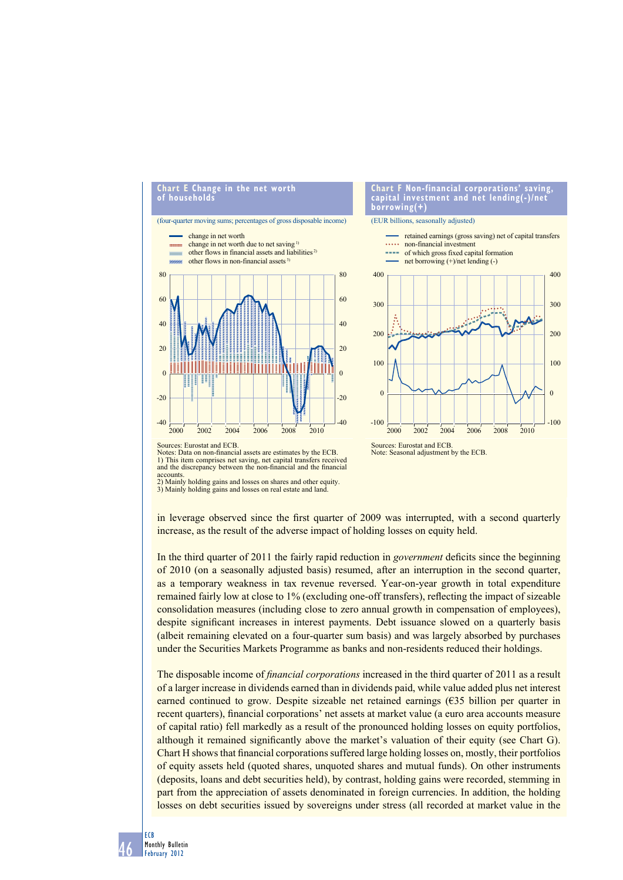

Notes: Data on non-financial assets are estimates by the ECB. 1) This item comprises net saving, net capital transfers received and the discrepancy between the non-financial and the financial

accounts 2) Mainly holding gains and losses on shares and other equity.

3) Mainly holding gains and losses on real estate and land.

in leverage observed since the first quarter of 2009 was interrupted, with a second quarterly increase, as the result of the adverse impact of holding losses on equity held.

In the third quarter of 2011 the fairly rapid reduction in *government* deficits since the beginning of 2010 (on a seasonally adjusted basis) resumed, after an interruption in the second quarter, as a temporary weakness in tax revenue reversed. Year-on-year growth in total expenditure remained fairly low at close to 1% (excluding one-off transfers), reflecting the impact of sizeable consolidation measures (including close to zero annual growth in compensation of employees), despite significant increases in interest payments. Debt issuance slowed on a quarterly basis (albeit remaining elevated on a four-quarter sum basis) and was largely absorbed by purchases under the Securities Markets Programme as banks and non-residents reduced their holdings.

The disposable income of *financial corporations* increased in the third quarter of 2011 as a result of a larger increase in dividends earned than in dividends paid, while value added plus net interest earned continued to grow. Despite sizeable net retained earnings (€35 billion per quarter in recent quarters), financial corporations' net assets at market value (a euro area accounts measure of capital ratio) fell markedly as a result of the pronounced holding losses on equity portfolios, although it remained significantly above the market's valuation of their equity (see Chart G). Chart H shows that financial corporations suffered large holding losses on, mostly, their portfolios of equity assets held (quoted shares, unquoted shares and mutual funds). On other instruments (deposits, loans and debt securities held), by contrast, holding gains were recorded, stemming in part from the appreciation of assets denominated in foreign currencies. In addition, the holding losses on debt securities issued by sovereigns under stress (all recorded at market value in the